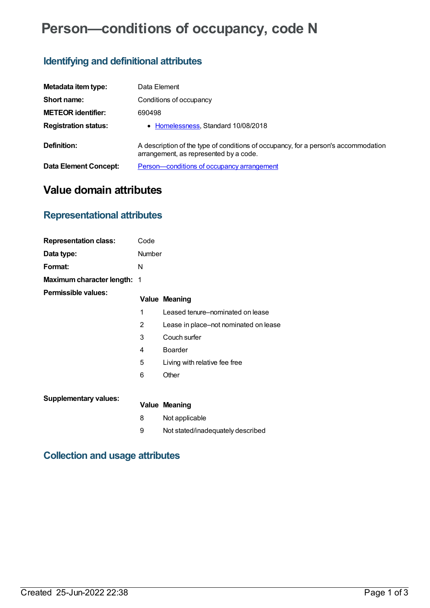# **Person—conditions of occupancy, code N**

## **Identifying and definitional attributes**

| Metadata item type:         | Data Element                                                                                                                 |
|-----------------------------|------------------------------------------------------------------------------------------------------------------------------|
| Short name:                 | Conditions of occupancy                                                                                                      |
| <b>METEOR identifier:</b>   | 690498                                                                                                                       |
| <b>Registration status:</b> | • Homelessness, Standard 10/08/2018                                                                                          |
| Definition:                 | A description of the type of conditions of occupancy, for a person's accommodation<br>arrangement, as represented by a code. |
| Data Element Concept:       | Person-conditions of occupancy arrangement                                                                                   |

## **Value domain attributes**

### **Representational attributes**

| <b>Representation class:</b> | Code   |                                       |
|------------------------------|--------|---------------------------------------|
| Data type:                   | Number |                                       |
| Format:                      | N      |                                       |
| Maximum character length: 1  |        |                                       |
| Permissible values:          |        | <b>Value Meaning</b>                  |
|                              | 1      | Leased tenure-nominated on lease      |
|                              | 2      | Lease in place–not nominated on lease |
|                              | 3      | Couch surfer                          |
|                              | 4      | <b>Boarder</b>                        |
|                              | 5      | Living with relative fee free         |
|                              | 6      | Other                                 |
| <b>Supplementary values:</b> |        | <b>Value Meaning</b>                  |
|                              |        |                                       |
|                              | 8      | Not applicable                        |
|                              | 9      | Not stated/inadequately described     |

#### **Collection and usage attributes**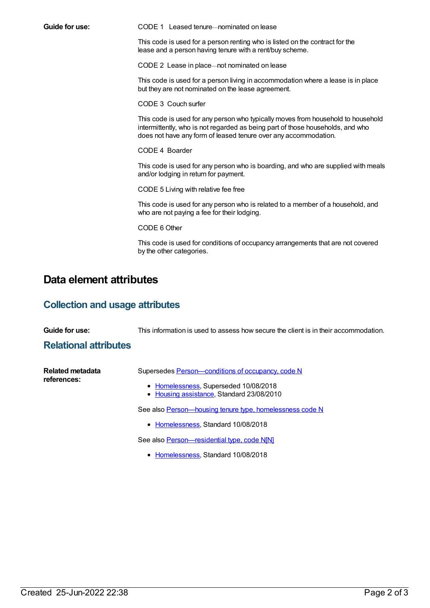**Guide for use:** CODE 1 Leased tenure—nominated on lease

This code is used for a person renting who is listed on the contract for the lease and a person having tenure with a rent/buy scheme.

CODE 2 Lease in place—not nominated on lease

This code is used for a person living in accommodation where a lease is in place but they are not nominated on the lease agreement.

CODE 3 Couch surfer

This code is used for any person who typically moves from household to household intermittently, who is not regarded as being part of those households, and who does not have any form of leased tenure over any accommodation.

CODE 4 Boarder

This code is used for any person who is boarding, and who are supplied with meals and/or lodging in return for payment.

CODE 5 Living with relative fee free

This code is used for any person who is related to a member of a household, and who are not paying a fee for their lodging.

CODE 6 Other

This code is used for conditions of occupancy arrangements that are not covered by the other categories.

#### **Data element attributes**

#### **Collection and usage attributes**

| Guide for use: |  |  |  |
|----------------|--|--|--|
|----------------|--|--|--|

**Guide for use:** This information is used to assess how secure the client is in their accommodation.

#### **Relational attributes**

| <b>Related metadata</b> | Supersedes Person-conditions of occupancy, code N                                  |  |  |
|-------------------------|------------------------------------------------------------------------------------|--|--|
| references:             | • Homelessness, Superseded 10/08/2018<br>• Housing assistance, Standard 23/08/2010 |  |  |
|                         | See also Person-housing tenure type, homelessness code N                           |  |  |
|                         | • Homelessness, Standard 10/08/2018                                                |  |  |
|                         | See also Person-residential type, code N[N]                                        |  |  |

• [Homelessness](https://meteor.aihw.gov.au/RegistrationAuthority/14), Standard 10/08/2018